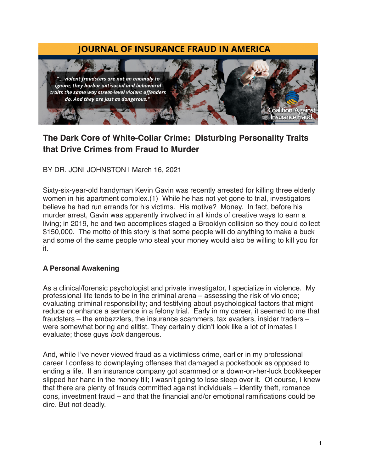# **JOURNAL OF INSURANCE FRAUD IN AMERICA**



# **The Dark Core of White-Collar Crime: Disturbing Personality Traits that Drive Crimes from Fraud to Murder**

BY DR*.* JONI JOHNSTON | March 16, 2021

Sixty-six-year-old handyman Kevin Gavin was recently arrested for killing three elderly women in his apartment complex.(1) While he has not yet gone to trial, investigators believe he had run errands for his victims. His motive? Money. In fact, before his murder arrest, Gavin was apparently involved in all kinds of creative ways to earn a living; in 2019, he and two accomplices staged a Brooklyn collision so they could collect \$150,000. The motto of this story is that some people will do anything to make a buck and some of the same people who steal your money would also be willing to kill you for it.

#### **A Personal Awakening**

As a clinical/forensic psychologist and private investigator, I specialize in violence. My professional life tends to be in the criminal arena – assessing the risk of violence; evaluating criminal responsibility; and testifying about psychological factors that might reduce or enhance a sentence in a felony trial. Early in my career, it seemed to me that fraudsters – the embezzlers, the insurance scammers, tax evaders, insider traders – were somewhat boring and elitist. They certainly didn't look like a lot of inmates I evaluate; those guys *look* dangerous.

And, while I've never viewed fraud as a victimless crime, earlier in my professional career I confess to downplaying offenses that damaged a pocketbook as opposed to ending a life. If an insurance company got scammed or a down-on-her-luck bookkeeper slipped her hand in the money till; I wasn't going to lose sleep over it. Of course, I knew that there are plenty of frauds committed against individuals – identity theft, romance cons, investment fraud – and that the financial and/or emotional ramifications could be dire. But not deadly.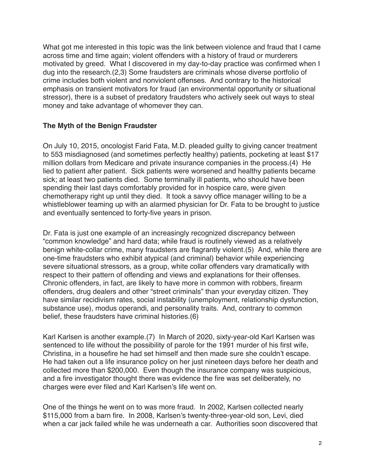What got me interested in this topic was the link between violence and fraud that I came across time and time again; violent offenders with a history of fraud or murderers motivated by greed. What I discovered in my day-to-day practice was confirmed when I dug into the research.(2,3) Some fraudsters are criminals whose diverse portfolio of crime includes both violent and nonviolent offenses. And contrary to the historical emphasis on transient motivators for fraud (an environmental opportunity or situational stressor), there is a subset of predatory fraudsters who actively seek out ways to steal money and take advantage of whomever they can.

#### **The Myth of the Benign Fraudster**

On July 10, 2015, oncologist Farid Fata, M.D. pleaded guilty to giving cancer treatment to 553 misdiagnosed (and sometimes perfectly healthy) patients, pocketing at least \$17 million dollars from Medicare and private insurance companies in the process.(4) He lied to patient after patient. Sick patients were worsened and healthy patients became sick; at least two patients died. Some terminally ill patients, who should have been spending their last days comfortably provided for in hospice care, were given chemotherapy right up until they died. It took a savvy office manager willing to be a whistleblower teaming up with an alarmed physician for Dr. Fata to be brought to justice and eventually sentenced to forty-five years in prison.

Dr. Fata is just one example of an increasingly recognized discrepancy between "common knowledge" and hard data; while fraud is routinely viewed as a relatively benign white-collar crime, many fraudsters are flagrantly violent.(5) And, while there are one-time fraudsters who exhibit atypical (and criminal) behavior while experiencing severe situational stressors, as a group, white collar offenders vary dramatically with respect to their pattern of offending and views and explanations for their offenses. Chronic offenders, in fact, are likely to have more in common with robbers, firearm offenders, drug dealers and other "street criminals" than your everyday citizen. They have similar recidivism rates, social instability (unemployment, relationship dysfunction, substance use), modus operandi, and personality traits. And, contrary to common belief, these fraudsters have criminal histories.(6)

Karl Karlsen is another example.(7) In March of 2020, sixty-year-old Karl Karlsen was sentenced to life without the possibility of parole for the 1991 murder of his first wife, Christina, in a housefire he had set himself and then made sure she couldn't escape. He had taken out a life insurance policy on her just nineteen days before her death and collected more than \$200,000. Even though the insurance company was suspicious, and a fire investigator thought there was evidence the fire was set deliberately, no charges were ever filed and Karl Karlsen's life went on.

One of the things he went on to was more fraud. In 2002, Karlsen collected nearly \$115,000 from a barn fire. In 2008, Karlsen's twenty-three-year-old son, Levi, died when a car jack failed while he was underneath a car. Authorities soon discovered that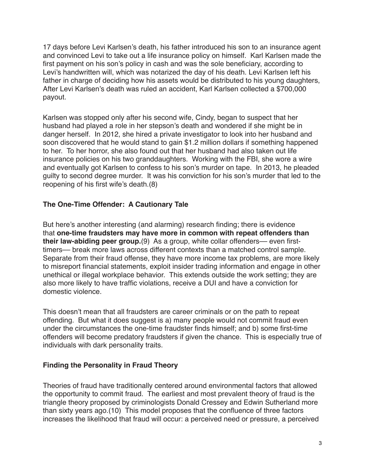17 days before Levi Karlsen's death, his father introduced his son to an insurance agent and convinced Levi to take out a life insurance policy on himself. Karl Karlsen made the first payment on his son's policy in cash and was the sole beneficiary, according to Levi's handwritten will, which was notarized the day of his death. Levi Karlsen left his father in charge of deciding how his assets would be distributed to his young daughters, After Levi Karlsen's death was ruled an accident, Karl Karlsen collected a \$700,000 payout.

Karlsen was stopped only after his second wife, Cindy, began to suspect that her husband had played a role in her stepson's death and wondered if she might be in danger herself. In 2012, she hired a private investigator to look into her husband and soon discovered that he would stand to gain \$1.2 million dollars if something happened to her. To her horror, she also found out that her husband had also taken out life insurance policies on his two granddaughters. Working with the FBI, she wore a wire and eventually got Karlsen to confess to his son's murder on tape. In 2013, he pleaded guilty to second degree murder. It was his conviction for his son's murder that led to the reopening of his first wife's death.(8)

## **The One-Time Offender: A Cautionary Tale**

But here's another interesting (and alarming) research finding; there is evidence that **one-time fraudsters may have more in common with repeat offenders than their law-abiding peer group.**(9) As a group, white collar offenders— even firsttimers— break more laws across different contexts than a matched control sample. Separate from their fraud offense, they have more income tax problems, are more likely to misreport financial statements, exploit insider trading information and engage in other unethical or illegal workplace behavior. This extends outside the work setting; they are also more likely to have traffic violations, receive a DUI and have a conviction for domestic violence.

This doesn't mean that all fraudsters are career criminals or on the path to repeat offending. But what it does suggest is a) many people would not commit fraud even under the circumstances the one-time fraudster finds himself; and b) some first-time offenders will become predatory fraudsters if given the chance. This is especially true of individuals with dark personality traits.

### **Finding the Personality in Fraud Theory**

Theories of fraud have traditionally centered around environmental factors that allowed the opportunity to commit fraud. The earliest and most prevalent theory of fraud is the triangle theory proposed by criminologists Donald Cressey and Edwin Sutherland more than sixty years ago.(10) This model proposes that the confluence of three factors increases the likelihood that fraud will occur: a perceived need or pressure, a perceived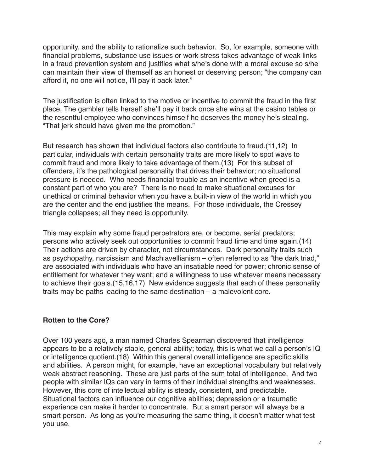opportunity, and the ability to rationalize such behavior. So, for example, someone with financial problems, substance use issues or work stress takes advantage of weak links in a fraud prevention system and justifies what s/he's done with a moral excuse so s/he can maintain their view of themself as an honest or deserving person; "the company can afford it, no one will notice, I'll pay it back later."

The justification is often linked to the motive or incentive to commit the fraud in the first place. The gambler tells herself she'll pay it back once she wins at the casino tables or the resentful employee who convinces himself he deserves the money he's stealing. "That jerk should have given me the promotion."

But research has shown that individual factors also contribute to fraud.(11,12) In particular, individuals with certain personality traits are more likely to spot ways to commit fraud and more likely to take advantage of them.(13) For this subset of offenders, it's the pathological personality that drives their behavior; no situational pressure is needed. Who needs financial trouble as an incentive when greed is a constant part of who you are? There is no need to make situational excuses for unethical or criminal behavior when you have a built-in view of the world in which you are the center and the end justifies the means. For those individuals, the Cressey triangle collapses; all they need is opportunity.

This may explain why some fraud perpetrators are, or become, serial predators; persons who actively seek out opportunities to commit fraud time and time again.(14) Their actions are driven by character, not circumstances. Dark personality traits such as psychopathy, narcissism and Machiavellianism – often referred to as "the dark triad," are associated with individuals who have an insatiable need for power; chronic sense of entitlement for whatever they want; and a willingness to use whatever means necessary to achieve their goals.(15,16,17) New evidence suggests that each of these personality traits may be paths leading to the same destination – a malevolent core.

### **Rotten to the Core?**

Over 100 years ago, a man named Charles Spearman discovered that intelligence appears to be a relatively stable, general ability; today, this is what we call a person's IQ or intelligence quotient.(18) Within this general overall intelligence are specific skills and abilities. A person might, for example, have an exceptional vocabulary but relatively weak abstract reasoning. These are just parts of the sum total of intelligence. And two people with similar IQs can vary in terms of their individual strengths and weaknesses. However, this core of intellectual ability is steady, consistent, and predictable. Situational factors can influence our cognitive abilities; depression or a traumatic experience can make it harder to concentrate. But a smart person will always be a smart person. As long as you're measuring the same thing, it doesn't matter what test you use.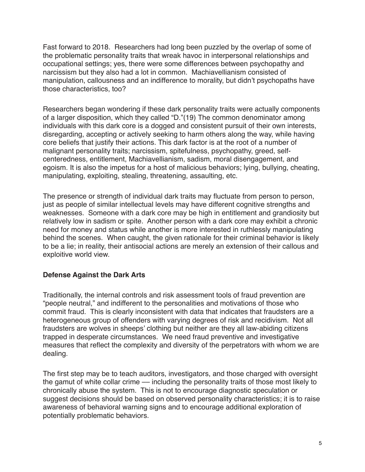Fast forward to 2018. Researchers had long been puzzled by the overlap of some of the problematic personality traits that wreak havoc in interpersonal relationships and occupational settings; yes, there were some differences between psychopathy and narcissism but they also had a lot in common. Machiavellianism consisted of manipulation, callousness and an indifference to morality, but didn't psychopaths have those characteristics, too?

Researchers began wondering if these dark personality traits were actually components of a larger disposition, which they called "D."(19) The common denominator among individuals with this dark core is a dogged and consistent pursuit of their own interests, disregarding, accepting or actively seeking to harm others along the way, while having core beliefs that justify their actions. This dark factor is at the root of a number of malignant personality traits; narcissism, spitefulness, psychopathy, greed, selfcenteredness, entitlement, Machiavellianism, sadism, moral disengagement, and egoism. It is also the impetus for a host of malicious behaviors; lying, bullying, cheating, manipulating, exploiting, stealing, threatening, assaulting, etc.

The presence or strength of individual dark traits may fluctuate from person to person, just as people of similar intellectual levels may have different cognitive strengths and weaknesses. Someone with a dark core may be high in entitlement and grandiosity but relatively low in sadism or spite. Another person with a dark core may exhibit a chronic need for money and status while another is more interested in ruthlessly manipulating behind the scenes. When caught, the given rationale for their criminal behavior is likely to be a lie; in reality, their antisocial actions are merely an extension of their callous and exploitive world view.

#### **Defense Against the Dark Arts**

Traditionally, the internal controls and risk assessment tools of fraud prevention are "people neutral," and indifferent to the personalities and motivations of those who commit fraud. This is clearly inconsistent with data that indicates that fraudsters are a heterogeneous group of offenders with varying degrees of risk and recidivism. Not all fraudsters are wolves in sheeps' clothing but neither are they all law-abiding citizens trapped in desperate circumstances. We need fraud preventive and investigative measures that reflect the complexity and diversity of the perpetrators with whom we are dealing.

The first step may be to teach auditors, investigators, and those charged with oversight the gamut of white collar crime — including the personality traits of those most likely to chronically abuse the system. This is not to encourage diagnostic speculation or suggest decisions should be based on observed personality characteristics; it is to raise awareness of behavioral warning signs and to encourage additional exploration of potentially problematic behaviors.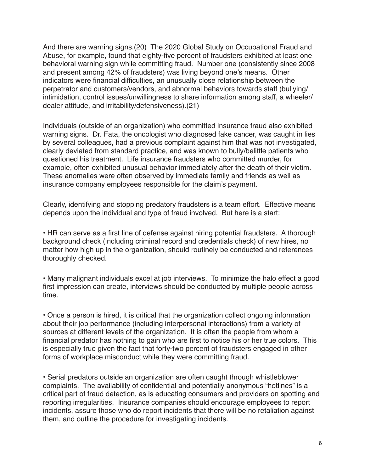And there are warning signs.(20) The 2020 Global Study on Occupational Fraud and Abuse, for example, found that eighty-five percent of fraudsters exhibited at least one behavioral warning sign while committing fraud. Number one (consistently since 2008 and present among 42% of fraudsters) was living beyond one's means. Other indicators were financial difficulties, an unusually close relationship between the perpetrator and customers/vendors, and abnormal behaviors towards staff (bullying/ intimidation, control issues/unwillingness to share information among staff, a wheeler/ dealer attitude, and irritability/defensiveness).(21)

Individuals (outside of an organization) who committed insurance fraud also exhibited warning signs. Dr. Fata, the oncologist who diagnosed fake cancer, was caught in lies by several colleagues, had a previous complaint against him that was not investigated, clearly deviated from standard practice, and was known to bully/belittle patients who questioned his treatment. Life insurance fraudsters who committed murder, for example, often exhibited unusual behavior immediately after the death of their victim. These anomalies were often observed by immediate family and friends as well as insurance company employees responsible for the claim's payment.

Clearly, identifying and stopping predatory fraudsters is a team effort. Effective means depends upon the individual and type of fraud involved. But here is a start:

• HR can serve as a first line of defense against hiring potential fraudsters. A thorough background check (including criminal record and credentials check) of new hires, no matter how high up in the organization, should routinely be conducted and references thoroughly checked.

• Many malignant individuals excel at job interviews. To minimize the halo effect a good first impression can create, interviews should be conducted by multiple people across time.

• Once a person is hired, it is critical that the organization collect ongoing information about their job performance (including interpersonal interactions) from a variety of sources at different levels of the organization. It is often the people from whom a financial predator has nothing to gain who are first to notice his or her true colors. This is especially true given the fact that forty-two percent of fraudsters engaged in other forms of workplace misconduct while they were committing fraud.

• Serial predators outside an organization are often caught through whistleblower complaints. The availability of confidential and potentially anonymous "hotlines" is a critical part of fraud detection, as is educating consumers and providers on spotting and reporting irregularities. Insurance companies should encourage employees to report incidents, assure those who do report incidents that there will be no retaliation against them, and outline the procedure for investigating incidents.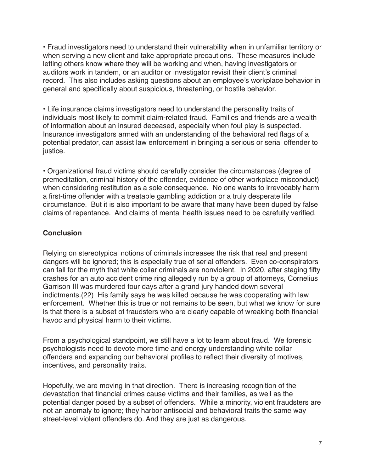• Fraud investigators need to understand their vulnerability when in unfamiliar territory or when serving a new client and take appropriate precautions. These measures include letting others know where they will be working and when, having investigators or auditors work in tandem, or an auditor or investigator revisit their client's criminal record. This also includes asking questions about an employee's workplace behavior in general and specifically about suspicious, threatening, or hostile behavior.

• Life insurance claims investigators need to understand the personality traits of individuals most likely to commit claim-related fraud. Families and friends are a wealth of information about an insured deceased, especially when foul play is suspected. Insurance investigators armed with an understanding of the behavioral red flags of a potential predator, can assist law enforcement in bringing a serious or serial offender to justice.

• Organizational fraud victims should carefully consider the circumstances (degree of premeditation, criminal history of the offender, evidence of other workplace misconduct) when considering restitution as a sole consequence. No one wants to irrevocably harm a first-time offender with a treatable gambling addiction or a truly desperate life circumstance. But it is also important to be aware that many have been duped by false claims of repentance. And claims of mental health issues need to be carefully verified.

## **Conclusion**

Relying on stereotypical notions of criminals increases the risk that real and present dangers will be ignored; this is especially true of serial offenders. Even co-conspirators can fall for the myth that white collar criminals are nonviolent. In 2020, after staging fifty crashes for an auto accident crime ring allegedly run by a group of attorneys, Cornelius Garrison III was murdered four days after a grand jury handed down several indictments.(22) His family says he was killed because he was cooperating with law enforcement. Whether this is true or not remains to be seen, but what we know for sure is that there is a subset of fraudsters who are clearly capable of wreaking both financial havoc and physical harm to their victims.

From a psychological standpoint, we still have a lot to learn about fraud. We forensic psychologists need to devote more time and energy understanding white collar offenders and expanding our behavioral profiles to reflect their diversity of motives, incentives, and personality traits.

Hopefully, we are moving in that direction. There is increasing recognition of the devastation that financial crimes cause victims and their families, as well as the potential danger posed by a subset of offenders. While a minority, violent fraudsters are not an anomaly to ignore; they harbor antisocial and behavioral traits the same way street-level violent offenders do. And they are just as dangerous.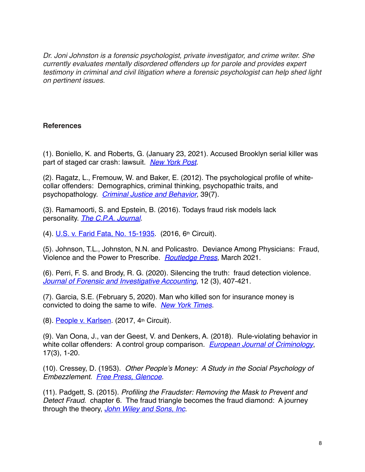*Dr. Joni Johnston is a forensic psychologist, private investigator, and crime writer. She currently evaluates mentally disordered offenders up for parole and provides expert testimony in criminal and civil litigation where a forensic psychologist can help shed light on pertinent issues.*

### **References**

(1). Boniello, K. and Roberts, G. (January 23, 2021). Accused Brooklyn serial killer was part of staged car crash: lawsuit. *[New York Post](https://nypost.com/2021/01/23/accused-nyc-serial-killer-was-part-of-staged-car-crash-lawsuit/%22%3Ehttps://nypost.com/2021/01/23/accused-nyc-serial-killer-was-part-of-staged-car-crash-lawsuit/)*.

(2). Ragatz, L., Fremouw, W. and Baker, E. (2012). The psychological profile of whitecollar offenders: Demographics, criminal thinking, psychopathic traits, and psychopathology. *[Criminal Justice and Behavior](https://journals.sagepub.com/doi/abs/10.1177/0093854812437846?journalCode=cjbb)*, 39(7).

(3). Ramamoorti, S. and Epstein, B. (2016). Todays fraud risk models lack personality. *[The C.P.A. Journal](https://www.cpajournal.com/2016/03/16/todays-fraud-risk-models-lack-personality/)*.

(4). [U.S. v. Farid Fata, No. 15-1935](https://www.justice.gov/usao-edmi/file/861961/download). (2016, 6th Circuit).

(5). Johnson, T.L., Johnston, N.N. and Policastro. Deviance Among Physicians: Fraud, Violence and the Power to Prescribe. *[Routledge Press](https://www.routledge.com/Deviance-Among-Physicians-Fraud-Violence-and-the-Power-to-Prescribe/Johnson-Johnson-Policastro/p/book/9780367530297)*, March 2021.

(6). Perri, F. S. and Brody, R. G. (2020). Silencing the truth: fraud detection violence. *[Journal of Forensic and Investigative Accounting,](https://www.researchgate.net/publication/347894022_Silencing_the_Truth_Fraud_Detection_Violence)* 12 (3), 407-421.

(7). Garcia, S.E. (February 5, 2020). Man who killed son for insurance money is convicted to doing the same to wife. *[New York Times](https://www.nytimes.com/2020/02/05/us/karl-karlsen-wife-insurance.html)*.

(8). [People v. Karlsen](https://law.justia.com/cases/new-york/appellate-division-fourth-department/2017/26-ka-14-00823.html). (2017, 4th Circuit).

(9). Van Oona, J., van der Geest, V. and Denkers, A. (2018). Rule-violating behavior in white collar offenders: A control group comparison. *[European Journal of Criminology](https://journals.sagepub.com/doi/10.1177/1477370818794114)*, 17(3), 1-20.

(10). Cressey, D. (1953). *Other People's Money: A Study in the Social Psychology of Embezzlement. [Free Press, Glencoe](https://psycnet.apa.org/record/1954-06293-000)*.

(11). Padgett, S. (2015). *Profiling the Fraudster: Removing the Mask to Prevent and Detect Fraud*. chapter 6. The fraud triangle becomes the fraud diamond: A journey through the theory, *[John Wiley and Sons, Inc](https://onlinelibrary.wiley.com/doi/10.1002/9781118929773.ch6)*.